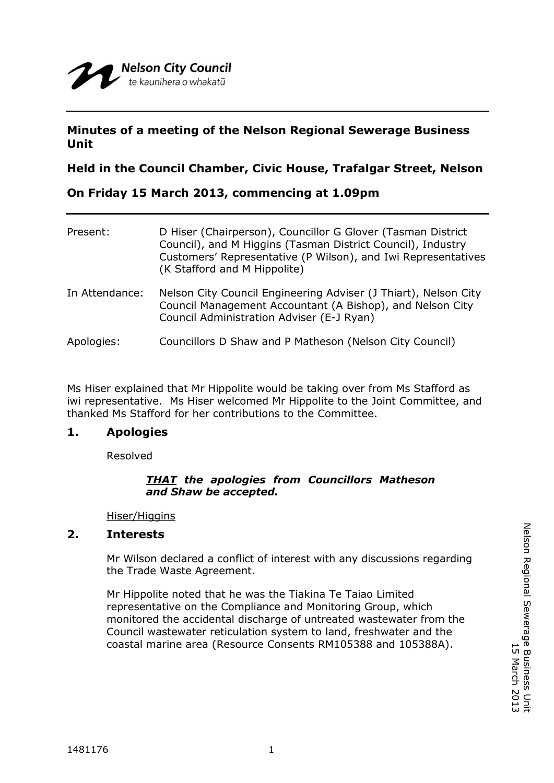# **Minutes of a meeting of the Nelson Regional Sewerage Business Unit**

## **Held in the Council Chamber, Civic House, Trafalgar Street, Nelson**

## **On Friday 15 March 2013, commencing at 1.09pm**

| Present:       | D Hiser (Chairperson), Councillor G Glover (Tasman District<br>Council), and M Higgins (Tasman District Council), Industry<br>Customers' Representative (P Wilson), and Iwi Representatives<br>(K Stafford and M Hippolite) |
|----------------|-----------------------------------------------------------------------------------------------------------------------------------------------------------------------------------------------------------------------------|
| In Attendance: | Nelson City Council Engineering Adviser (J Thiart), Nelson City<br>Council Management Accountant (A Bishop), and Nelson City<br>Council Administration Adviser (E-J Ryan)                                                   |
| Apologies:     | Councillors D Shaw and P Matheson (Nelson City Council)                                                                                                                                                                     |

Ms Hiser explained that Mr Hippolite would be taking over from Ms Stafford as iwi representative. Ms Hiser welcomed Mr Hippolite to the Joint Committee, and thanked Ms Stafford for her contributions to the Committee.

## **1. Apologies**

Resolved

## *THAT the apologies from Councillors Matheson and Shaw be accepted.*

Hiser/Higgins

## **2. Interests**

Mr Wilson declared a conflict of interest with any discussions regarding the Trade Waste Agreement.

Mr Hippolite noted that he was the Tiakina Te Taiao Limited representative on the Compliance and Monitoring Group, which monitored the accidental discharge of untreated wastewater from the Council wastewater reticulation system to land, freshwater and the coastal marine area (Resource Consents RM105388 and 105388A).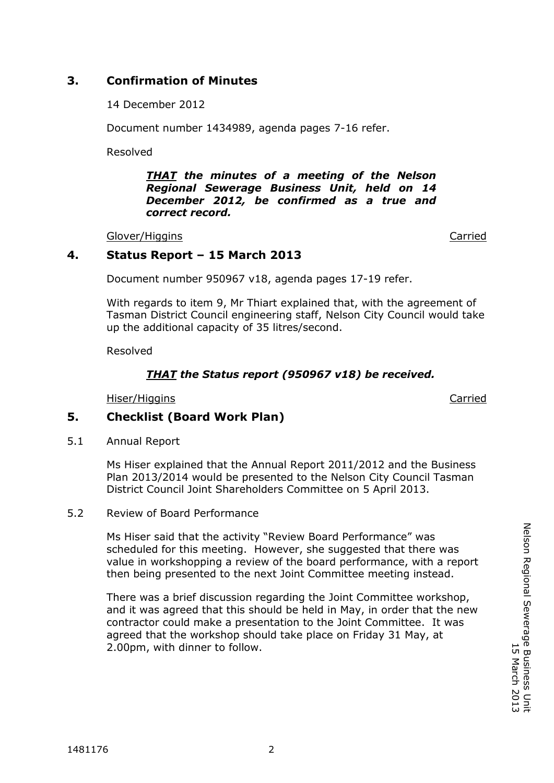14 December 2012

Document number 1434989, agenda pages 7-16 refer.

Resolved

*THAT the minutes of a meeting of the Nelson Regional Sewerage Business Unit, held on 14 December 2012, be confirmed as a true and correct record.*

Glover/Higgins **Carried** Carried Carried **Carried** 

# **4. Status Report – 15 March 2013**

Document number 950967 v18, agenda pages 17-19 refer.

With regards to item 9, Mr Thiart explained that, with the agreement of Tasman District Council engineering staff, Nelson City Council would take up the additional capacity of 35 litres/second.

Resolved

# *THAT the Status report (950967 v18) be received.*

Hiser/Higgins Carried

**COMMITTEE** 

# **5. Checklist (Board Work Plan)**

5.1 Annual Report

Ms Hiser explained that the Annual Report 2011/2012 and the Business Plan 2013/2014 would be presented to the Nelson City Council Tasman District Council Joint Shareholders Committee on 5 April 2013.

5.2 Review of Board Performance

Ms Hiser said that the activity "Review Board Performance" was scheduled for this meeting. However, she suggested that there was value in workshopping a review of the board performance, with a report then being presented to the next Joint Committee meeting instead.

There was a brief discussion regarding the Joint Committee workshop, and it was agreed that this should be held in May, in order that the new contractor could make a presentation to the Joint Committee. It was agreed that the workshop should take place on Friday 31 May, at 2.00pm, with dinner to follow.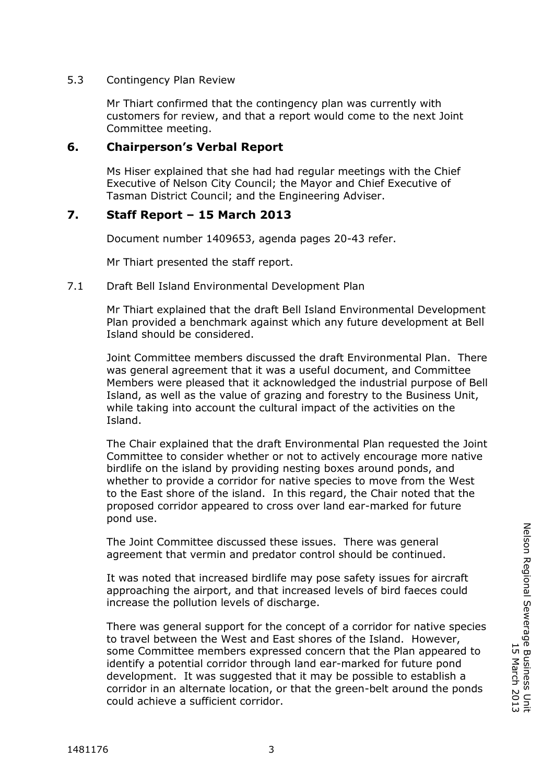## 5.3 Contingency Plan Review

Mr Thiart confirmed that the contingency plan was currently with customers for review, and that a report would come to the next Joint Committee meeting.

## **6. Chairperson's Verbal Report**

Ms Hiser explained that she had had regular meetings with the Chief Executive of Nelson City Council; the Mayor and Chief Executive of Tasman District Council; and the Engineering Adviser.

## **7. Staff Report – 15 March 2013**

Document number 1409653, agenda pages 20-43 refer.

Mr Thiart presented the staff report.

## 7.1 Draft Bell Island Environmental Development Plan

Mr Thiart explained that the draft Bell Island Environmental Development Plan provided a benchmark against which any future development at Bell Island should be considered.

*COMMITTEE* Joint Committee members discussed the draft Environmental Plan. There was general agreement that it was a useful document, and Committee Members were pleased that it acknowledged the industrial purpose of Bell Island, as well as the value of grazing and forestry to the Business Unit, while taking into account the cultural impact of the activities on the Island.

The Chair explained that the draft Environmental Plan requested the Joint Committee to consider whether or not to actively encourage more native birdlife on the island by providing nesting boxes around ponds, and whether to provide a corridor for native species to move from the West to the East shore of the island. In this regard, the Chair noted that the proposed corridor appeared to cross over land ear-marked for future pond use.

The Joint Committee discussed these issues. There was general agreement that vermin and predator control should be continued.

It was noted that increased birdlife may pose safety issues for aircraft approaching the airport, and that increased levels of bird faeces could increase the pollution levels of discharge.

There was general support for the concept of a corridor for native species to travel between the West and East shores of the Island. However, some Committee members expressed concern that the Plan appeared to identify a potential corridor through land ear-marked for future pond development. It was suggested that it may be possible to establish a corridor in an alternate location, or that the green-belt around the ponds could achieve a sufficient corridor.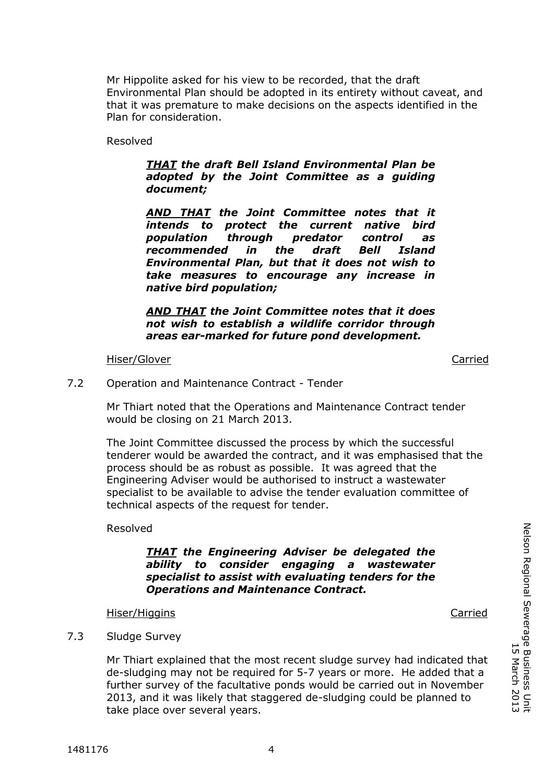Mr Hippolite asked for his view to be recorded, that the draft Environmental Plan should be adopted in its entirety without caveat, and that it was premature to make decisions on the aspects identified in the Plan for consideration.

Resolved

## *THAT the draft Bell Island Environmental Plan be adopted by the Joint Committee as a guiding document;*

*AND THAT the Joint Committee notes that it intends to protect the current native bird population through predator control as recommended in the draft Bell Island Environmental Plan, but that it does not wish to take measures to encourage any increase in native bird population;*

*AND THAT the Joint Committee notes that it does not wish to establish a wildlife corridor through areas ear-marked for future pond development.*

#### Hiser/Glover Carried

7.2 Operation and Maintenance Contract - Tender

Mr Thiart noted that the Operations and Maintenance Contract tender would be closing on 21 March 2013.

The Joint Committee discussed the process by which the successful tenderer would be awarded the contract, and it was emphasised that the process should be as robust as possible. It was agreed that the Engineering Adviser would be authorised to instruct a wastewater specialist to be available to advise the tender evaluation committee of technical aspects of the request for tender.

Resolved

## *THAT the Engineering Adviser be delegated the ability to consider engaging a wastewater specialist to assist with evaluating tenders for the Operations and Maintenance Contract.*

#### Hiser/Higgins Carried

### 7.3 Sludge Survey

Mr Thiart explained that the most recent sludge survey had indicated that de-sludging may not be required for 5-7 years or more. He added that a further survey of the facultative ponds would be carried out in November 2013, and it was likely that staggered de-sludging could be planned to take place over several years.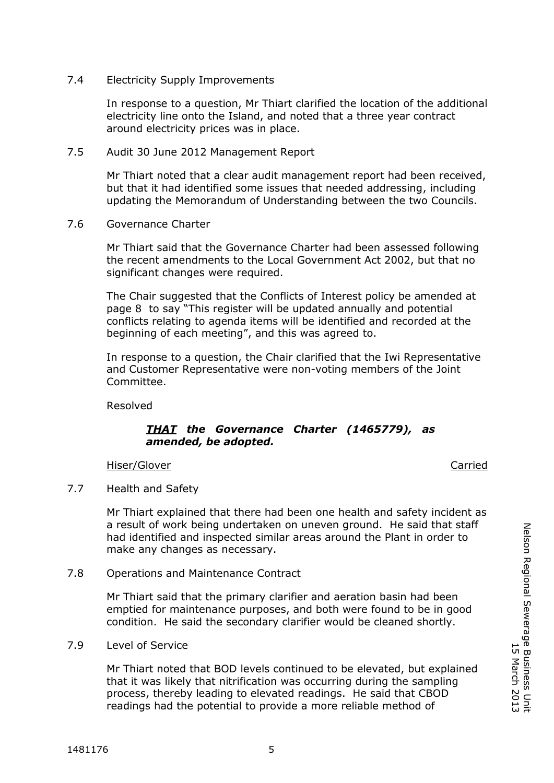## 7.4 Electricity Supply Improvements

In response to a question, Mr Thiart clarified the location of the additional electricity line onto the Island, and noted that a three year contract around electricity prices was in place.

7.5 Audit 30 June 2012 Management Report

Mr Thiart noted that a clear audit management report had been received, but that it had identified some issues that needed addressing, including updating the Memorandum of Understanding between the two Councils.

7.6 Governance Charter

Mr Thiart said that the Governance Charter had been assessed following the recent amendments to the Local Government Act 2002, but that no significant changes were required.

The Chair suggested that the Conflicts of Interest policy be amended at page 8 to say "This register will be updated annually and potential conflicts relating to agenda items will be identified and recorded at the beginning of each meeting", and this was agreed to.

In response to a question, the Chair clarified that the Iwi Representative and Customer Representative were non-voting members of the Joint Committee.

Resolved

## *THAT the Governance Charter (1465779), as amended, be adopted.*

Hiser/Glover **Carried** 

*COMMITTEE*

7.7 Health and Safety

Mr Thiart explained that there had been one health and safety incident as a result of work being undertaken on uneven ground. He said that staff had identified and inspected similar areas around the Plant in order to make any changes as necessary.

7.8 Operations and Maintenance Contract

Mr Thiart said that the primary clarifier and aeration basin had been emptied for maintenance purposes, and both were found to be in good condition. He said the secondary clarifier would be cleaned shortly.

7.9 Level of Service

Mr Thiart noted that BOD levels continued to be elevated, but explained that it was likely that nitrification was occurring during the sampling process, thereby leading to elevated readings. He said that CBOD readings had the potential to provide a more reliable method of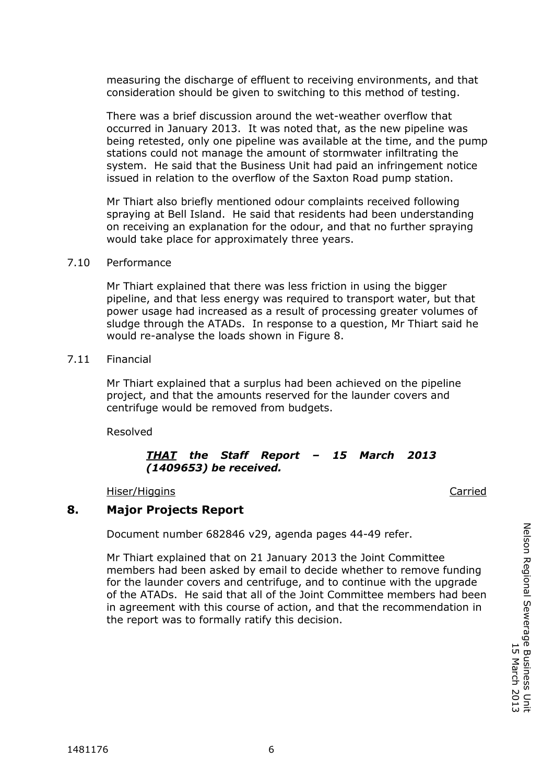measuring the discharge of effluent to receiving environments, and that consideration should be given to switching to this method of testing.

There was a brief discussion around the wet-weather overflow that occurred in January 2013. It was noted that, as the new pipeline was being retested, only one pipeline was available at the time, and the pump stations could not manage the amount of stormwater infiltrating the system. He said that the Business Unit had paid an infringement notice issued in relation to the overflow of the Saxton Road pump station.

Mr Thiart also briefly mentioned odour complaints received following spraying at Bell Island. He said that residents had been understanding on receiving an explanation for the odour, and that no further spraying would take place for approximately three years.

#### 7.10 Performance

Mr Thiart explained that there was less friction in using the bigger pipeline, and that less energy was required to transport water, but that power usage had increased as a result of processing greater volumes of sludge through the ATADs. In response to a question, Mr Thiart said he would re-analyse the loads shown in Figure 8.

#### 7.11 Financial

Mr Thiart explained that a surplus had been achieved on the pipeline project, and that the amounts reserved for the launder covers and centrifuge would be removed from budgets.

Resolved

#### *THAT the Staff Report – 15 March 2013 (1409653) be received.*

#### Hiser/Higgins Carried

### **8. Major Projects Report**

Document number 682846 v29, agenda pages 44-49 refer.

Mr Thiart explained that on 21 January 2013 the Joint Committee members had been asked by email to decide whether to remove funding for the launder covers and centrifuge, and to continue with the upgrade of the ATADs. He said that all of the Joint Committee members had been in agreement with this course of action, and that the recommendation in the report was to formally ratify this decision.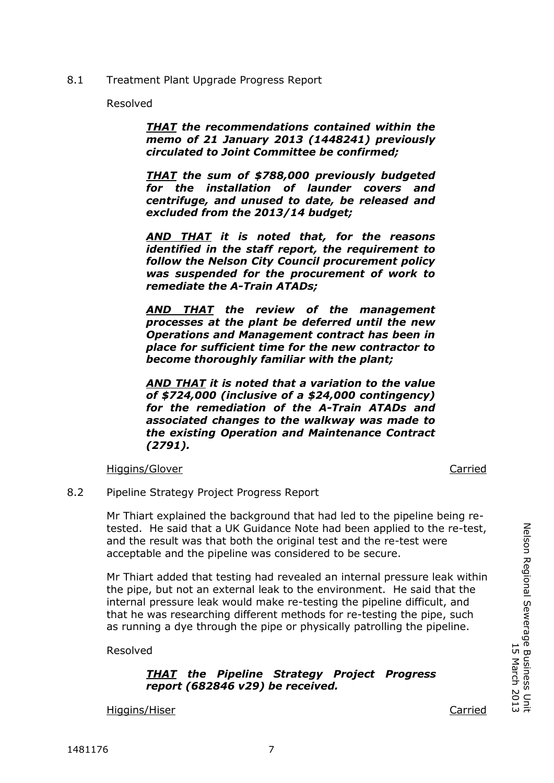8.1 Treatment Plant Upgrade Progress Report

Resolved

*THAT the recommendations contained within the memo of 21 January 2013 (1448241) previously circulated to Joint Committee be confirmed;*

*THAT the sum of \$788,000 previously budgeted for the installation of launder covers and centrifuge, and unused to date, be released and excluded from the 2013/14 budget;*

*AND THAT it is noted that, for the reasons identified in the staff report, the requirement to follow the Nelson City Council procurement policy was suspended for the procurement of work to remediate the A-Train ATADs;*

*AND THAT the review of the management processes at the plant be deferred until the new Operations and Management contract has been in place for sufficient time for the new contractor to become thoroughly familiar with the plant;*

*AND THAT it is noted that a variation to the value of \$724,000 (inclusive of a \$24,000 contingency) for the remediation of the A-Train ATADs and associated changes to the walkway was made to the existing Operation and Maintenance Contract (2791).*

Higgins/Glover Carried

*COMMITTEE*

8.2 Pipeline Strategy Project Progress Report

Mr Thiart explained the background that had led to the pipeline being retested. He said that a UK Guidance Note had been applied to the re-test, and the result was that both the original test and the re-test were acceptable and the pipeline was considered to be secure.

Mr Thiart added that testing had revealed an internal pressure leak within the pipe, but not an external leak to the environment. He said that the internal pressure leak would make re-testing the pipeline difficult, and that he was researching different methods for re-testing the pipe, such as running a dye through the pipe or physically patrolling the pipeline.

Resolved

## *THAT the Pipeline Strategy Project Progress report (682846 v29) be received.*

Higgins/Hiser Carried

Nelson Regional Sewerage Business Unit

Nelson Regional Sewerage Business Unit<br>Narch 2013

15 March 2013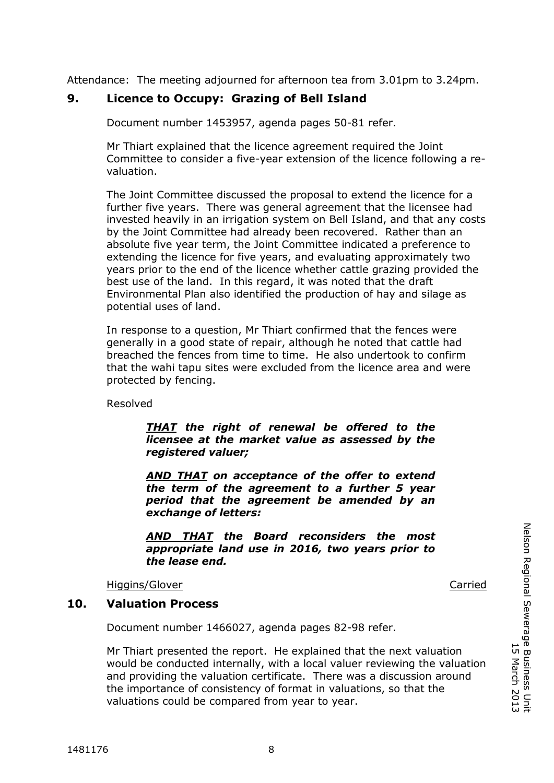Attendance: The meeting adjourned for afternoon tea from 3.01pm to 3.24pm.

# **9. Licence to Occupy: Grazing of Bell Island**

Document number 1453957, agenda pages 50-81 refer.

Mr Thiart explained that the licence agreement required the Joint Committee to consider a five-year extension of the licence following a revaluation.

The Joint Committee discussed the proposal to extend the licence for a further five years. There was general agreement that the licensee had invested heavily in an irrigation system on Bell Island, and that any costs by the Joint Committee had already been recovered. Rather than an absolute five year term, the Joint Committee indicated a preference to extending the licence for five years, and evaluating approximately two years prior to the end of the licence whether cattle grazing provided the best use of the land. In this regard, it was noted that the draft Environmental Plan also identified the production of hay and silage as potential uses of land.

In response to a question, Mr Thiart confirmed that the fences were generally in a good state of repair, although he noted that cattle had breached the fences from time to time. He also undertook to confirm that the wahi tapu sites were excluded from the licence area and were protected by fencing.

Resolved

## *THAT the right of renewal be offered to the licensee at the market value as assessed by the registered valuer;*

*AND THAT on acceptance of the offer to extend the term of the agreement to a further 5 year period that the agreement be amended by an exchange of letters:*

*AND THAT the Board reconsiders the most appropriate land use in 2016, two years prior to the lease end.*

Higgins/Glover Carried

## **10. Valuation Process**

Document number 1466027, agenda pages 82-98 refer.

Mr Thiart presented the report. He explained that the next valuation would be conducted internally, with a local valuer reviewing the valuation and providing the valuation certificate. There was a discussion around the importance of consistency of format in valuations, so that the valuations could be compared from year to year.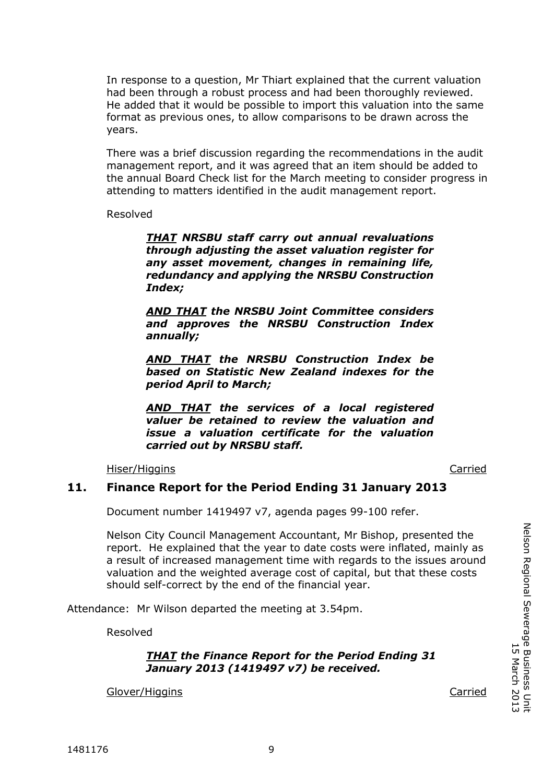In response to a question, Mr Thiart explained that the current valuation had been through a robust process and had been thoroughly reviewed. He added that it would be possible to import this valuation into the same format as previous ones, to allow comparisons to be drawn across the years.

There was a brief discussion regarding the recommendations in the audit management report, and it was agreed that an item should be added to the annual Board Check list for the March meeting to consider progress in attending to matters identified in the audit management report.

Resolved

*THAT NRSBU staff carry out annual revaluations through adjusting the asset valuation register for any asset movement, changes in remaining life, redundancy and applying the NRSBU Construction Index;*

*AND THAT the NRSBU Joint Committee considers and approves the NRSBU Construction Index annually;*

*AND THAT the NRSBU Construction Index be based on Statistic New Zealand indexes for the period April to March;*

*AND THAT the services of a local registered valuer be retained to review the valuation and issue a valuation certificate for the valuation carried out by NRSBU staff.*

Hiser/Higgins Carried

*COMMITTEE*

#### **11. Finance Report for the Period Ending 31 January 2013**

Document number 1419497 v7, agenda pages 99-100 refer.

Nelson City Council Management Accountant, Mr Bishop, presented the report. He explained that the year to date costs were inflated, mainly as a result of increased management time with regards to the issues around valuation and the weighted average cost of capital, but that these costs should self-correct by the end of the financial year.

Attendance: Mr Wilson departed the meeting at 3.54pm.

Resolved

*THAT the Finance Report for the Period Ending 31 January 2013 (1419497 v7) be received.*

Glover/Higgins Carried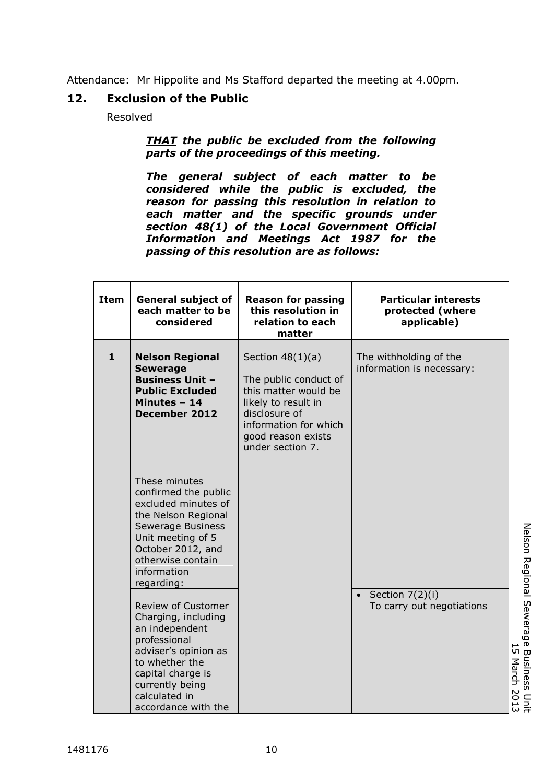Attendance: Mr Hippolite and Ms Stafford departed the meeting at 4.00pm.

# **12. Exclusion of the Public**

Resolved

## *THAT the public be excluded from the following parts of the proceedings of this meeting.*

*The general subject of each matter to be considered while the public is excluded, the reason for passing this resolution in relation to each matter and the specific grounds under section 48(1) of the Local Government Official Information and Meetings Act 1987 for the passing of this resolution are as follows:*

| <b>Item</b>  | <b>General subject of</b><br>each matter to be<br>considered                                                                                                                                          | <b>Reason for passing</b><br>this resolution in<br>relation to each<br>matter                                                                                                  | <b>Particular interests</b><br>protected (where<br>applicable) |
|--------------|-------------------------------------------------------------------------------------------------------------------------------------------------------------------------------------------------------|--------------------------------------------------------------------------------------------------------------------------------------------------------------------------------|----------------------------------------------------------------|
| $\mathbf{1}$ | <b>Nelson Regional</b><br><b>Sewerage</b><br><b>Business Unit -</b><br><b>Public Excluded</b><br>Minutes - 14<br><b>December 2012</b>                                                                 | Section $48(1)(a)$<br>The public conduct of<br>this matter would be<br>likely to result in<br>disclosure of<br>information for which<br>good reason exists<br>under section 7. | The withholding of the<br>information is necessary:            |
|              | These minutes<br>confirmed the public<br>excluded minutes of<br>the Nelson Regional<br>Sewerage Business<br>Unit meeting of 5<br>October 2012, and<br>otherwise contain<br>information<br>regarding:  |                                                                                                                                                                                |                                                                |
|              | Review of Customer<br>Charging, including<br>an independent<br>professional<br>adviser's opinion as<br>to whether the<br>capital charge is<br>currently being<br>calculated in<br>accordance with the |                                                                                                                                                                                | Section $7(2)(i)$<br>$\bullet$<br>To carry out negotiations    |